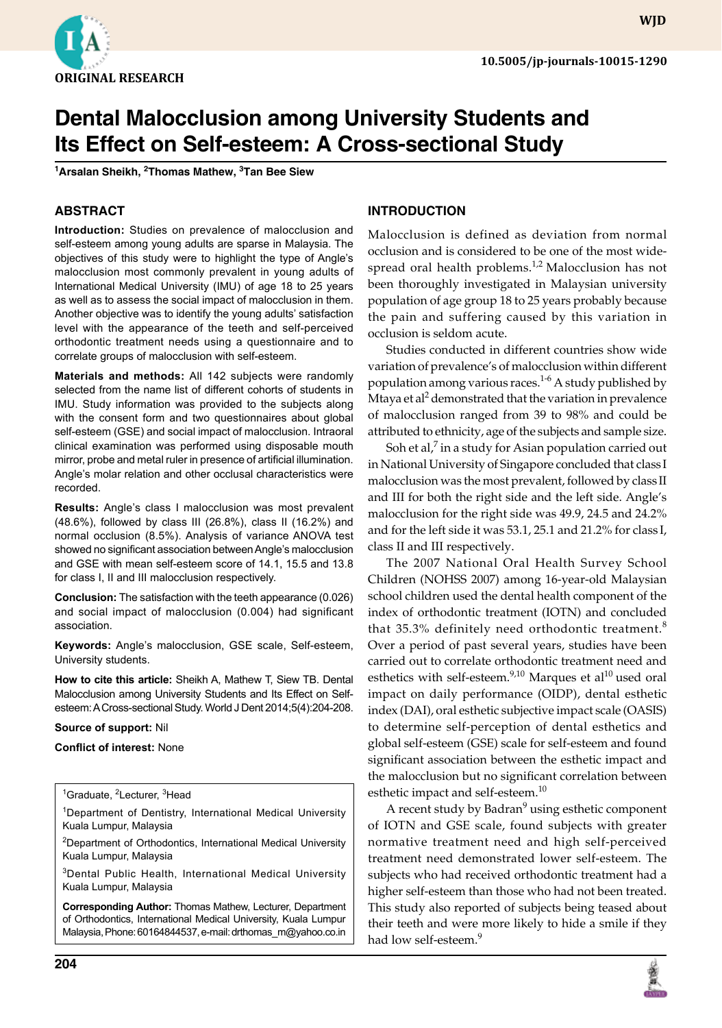

**wjd**

# **Dental Malocclusion among University Students and Its Effect on Self-esteem: A Cross-sectional Study**

**1 Arsalan Sheikh, 2 Thomas Mathew, 3 Tan Bee Siew**

## **ABSTRACT**

**Introduction:** Studies on prevalence of malocclusion and self-esteem among young adults are sparse in Malaysia. The objectives of this study were to highlight the type of Angle's malocclusion most commonly prevalent in young adults of International Medical University (IMU) of age 18 to 25 years as well as to assess the social impact of malocclusion in them. Another objective was to identify the young adults' satisfaction level with the appearance of the teeth and self-perceived orthodontic treatment needs using a questionnaire and to correlate groups of malocclusion with self-esteem.

**Materials and methods:** All 142 subjects were randomly selected from the name list of different cohorts of students in IMU. Study information was provided to the subjects along with the consent form and two questionnaires about global self-esteem (GSE) and social impact of malocclusion. Intraoral clinical examination was performed using disposable mouth mirror, probe and metal ruler in presence of artificial illumination. Angle's molar relation and other occlusal characteristics were recorded.

**Results:** Angle's class I malocclusion was most prevalent (48.6%), followed by class III (26.8%), class II (16.2%) and normal occlusion (8.5%). Analysis of variance ANOVA test showed no significant association between Angle's malocclusion and GSE with mean self-esteem score of 14.1, 15.5 and 13.8 for class I, II and III malocclusion respectively.

**Conclusion:** The satisfaction with the teeth appearance (0.026) and social impact of malocclusion (0.004) had significant association.

**Keywords:** Angle's malocclusion, GSE scale, Self-esteem, University students.

**How to cite this article:** Sheikh A, Mathew T, Siew TB. Dental Malocclusion among University Students and Its Effect on Selfesteem: A Cross-sectional Study. World J Dent 2014;5(4):204-208.

#### **Source of support:** Nil

#### **Conflict of interest:** None

<sup>1</sup>Graduate, <sup>2</sup>Lecturer, <sup>3</sup>Head

<sup>1</sup>Department of Dentistry, International Medical University Kuala Lumpur, Malaysia

<sup>2</sup>Department of Orthodontics, International Medical University Kuala Lumpur, Malaysia

3Dental Public Health, International Medical University Kuala Lumpur, Malaysia

**Corresponding Author:** Thomas Mathew, Lecturer, Department of Orthodontics, International Medical University, Kuala Lumpur Malaysia, Phone: 60164844537, e-mail: drthomas\_m@yahoo.co.in

# **Introduction**

Malocclusion is defined as deviation from normal occlusion and is considered to be one of the most widespread oral health problems.<sup>1,2</sup> Malocclusion has not been thoroughly investigated in Malaysian university population of age group 18 to 25 years probably because the pain and suffering caused by this variation in occlusion is seldom acute.

Studies conducted in different countries show wide variation of prevalence's of malocclusion within different population among various races.<sup>1-6</sup> A study published by Mtaya et al<sup>2</sup> demonstrated that the variation in prevalence of malocclusion ranged from 39 to 98% and could be attributed to ethnicity, age of the subjects and sample size.

Soh et al, $7$  in a study for Asian population carried out in National University of Singapore concluded that class I malocclusion was the most prevalent, followed by class II and III for both the right side and the left side. Angle's malocclusion for the right side was 49.9, 24.5 and 24.2% and for the left side it was 53.1, 25.1 and 21.2% for class I, class II and III respectively.

The 2007 National Oral Health Survey School Children (NOHSS 2007) among 16-year-old Malaysian school children used the dental health component of the index of orthodontic treatment (IOTN) and concluded that 35.3% definitely need orthodontic treatment.<sup>8</sup> Over a period of past several years, studies have been carried out to correlate orthodontic treatment need and esthetics with self-esteem. $9,10$  Marques et al<sup>10</sup> used oral impact on daily performance (OIDP), dental esthetic index (DAI), oral esthetic subjective impact scale (OASIS) to determine self-perception of dental esthetics and global self-esteem (GSE) scale for self-esteem and found significant association between the esthetic impact and the malocclusion but no significant correlation between esthetic impact and self-esteem.<sup>10</sup>

A recent study by Badran<sup>9</sup> using esthetic component of IOTN and GSE scale, found subjects with greater normative treatment need and high self-perceived treatment need demonstrated lower self-esteem. The subjects who had received orthodontic treatment had a higher self-esteem than those who had not been treated. This study also reported of subjects being teased about their teeth and were more likely to hide a smile if they had low self-esteem.<sup>9</sup>

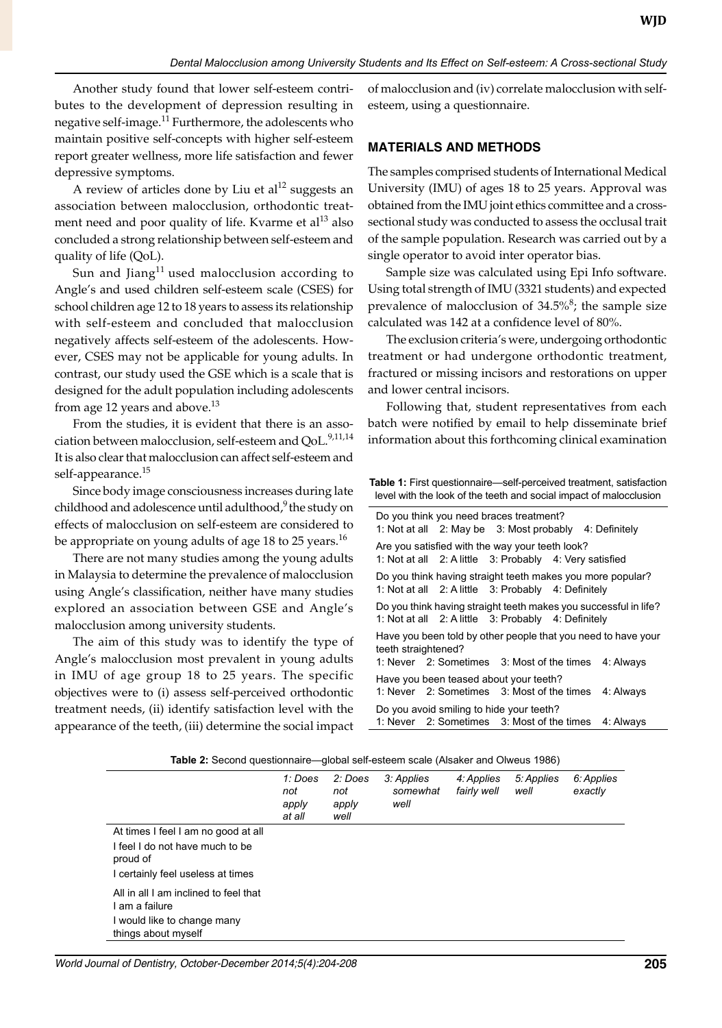Another study found that lower self-esteem contributes to the development of depression resulting in negative self-image.<sup>11</sup> Furthermore, the adolescents who maintain positive self-concepts with higher self-esteem report greater wellness, more life satisfaction and fewer depressive symptoms.

A review of articles done by Liu et al<sup>12</sup> suggests an association between malocclusion, orthodontic treatment need and poor quality of life. Kvarme et  $al<sup>13</sup>$  also concluded a strong relationship between self-esteem and quality of life (QoL).

Sun and Jiang<sup>11</sup> used malocclusion according to Angle's and used children self-esteem scale (CSES) for school children age 12 to 18 years to assess its relationship with self-esteem and concluded that malocclusion negatively affects self-esteem of the adolescents. However, CSES may not be applicable for young adults. In contrast, our study used the GSE which is a scale that is designed for the adult population including adolescents from age 12 years and above.<sup>13</sup>

From the studies, it is evident that there is an association between malocclusion, self-esteem and QoL.<sup>9,11,14</sup> It is also clear that malocclusion can affect self-esteem and self-appearance.<sup>15</sup>

Since body image consciousness increases during late childhood and adolescence until adulthood, $9$  the study on effects of malocclusion on self-esteem are considered to be appropriate on young adults of age 18 to 25 years.<sup>16</sup>

There are not many studies among the young adults in Malaysia to determine the prevalence of malocclusion using Angle's classification, neither have many studies explored an association between GSE and Angle's malocclusion among university students.

The aim of this study was to identify the type of Angle's malocclusion most prevalent in young adults in IMU of age group 18 to 25 years. The specific objectives were to (i) assess self-perceived orthodontic treatment needs, (ii) identify satisfaction level with the appearance of the teeth, (iii) determine the social impact of malocclusion and (iv) correlate malocclusion with selfesteem, using a questionnaire.

## **Materials and Methods**

The samples comprised students of International Medical University (IMU) of ages 18 to 25 years. Approval was obtained from the IMU joint ethics committee and a crosssectional study was conducted to assess the occlusal trait of the sample population. Research was carried out by a single operator to avoid inter operator bias.

Sample size was calculated using Epi Info software. Using total strength of IMU (3321 students) and expected prevalence of malocclusion of 34.5%<sup>8</sup>; the sample size calculated was 142 at a confidence level of 80%.

The exclusion criteria's were, undergoing orthodontic treatment or had undergone orthodontic treatment, fractured or missing incisors and restorations on upper and lower central incisors.

Following that, student representatives from each batch were notified by email to help disseminate brief information about this forthcoming clinical examination

**Table 1:** First questionnaire—self-perceived treatment, satisfaction level with the look of the teeth and social impact of malocclusion

|                                                                                                                                                           | Do you think you need braces treatment?<br>1: Not at all 2: May be 3: Most probably 4: Definitely          |  |  |  |  |  |
|-----------------------------------------------------------------------------------------------------------------------------------------------------------|------------------------------------------------------------------------------------------------------------|--|--|--|--|--|
|                                                                                                                                                           | Are you satisfied with the way your teeth look?<br>1: Not at all 2: A little 3: Probably 4: Very satisfied |  |  |  |  |  |
| Do you think having straight teeth makes you more popular?<br>1: Not at all 2: A little 3: Probably 4: Definitely                                         |                                                                                                            |  |  |  |  |  |
| Do you think having straight teeth makes you successful in life?<br>1: Not at all 2: A little 3: Probably 4: Definitely                                   |                                                                                                            |  |  |  |  |  |
| Have you been told by other people that you need to have your<br>teeth straightened?                                                                      |                                                                                                            |  |  |  |  |  |
| 1: Never 2: Sometimes 3: Most of the times 4: Always<br>Have you been teased about your teeth?<br>1. Never 2. Sometimes 3. Most of the times<br>4: Always |                                                                                                            |  |  |  |  |  |
| Do you avoid smiling to hide your teeth?<br>1: Never 2: Sometimes 3: Most of the times<br>4: Always                                                       |                                                                                                            |  |  |  |  |  |

|                                                                                                                         | 1: Does<br>not<br>apply<br>at all | 2: Does<br>not<br>apply<br>well | 3: Applies<br>somewhat<br>well | 4: Applies<br>fairly well | 5: Applies<br>well | 6: Applies<br>exactly |
|-------------------------------------------------------------------------------------------------------------------------|-----------------------------------|---------------------------------|--------------------------------|---------------------------|--------------------|-----------------------|
| At times I feel I am no good at all<br>I feel I do not have much to be<br>proud of<br>I certainly feel useless at times |                                   |                                 |                                |                           |                    |                       |
| All in all I am inclined to feel that<br>l am a failure<br>I would like to change many                                  |                                   |                                 |                                |                           |                    |                       |
| things about myself                                                                                                     |                                   |                                 |                                |                           |                    |                       |

*World Journal of Dentistry, October-December 2014;5(4):204-208* **205**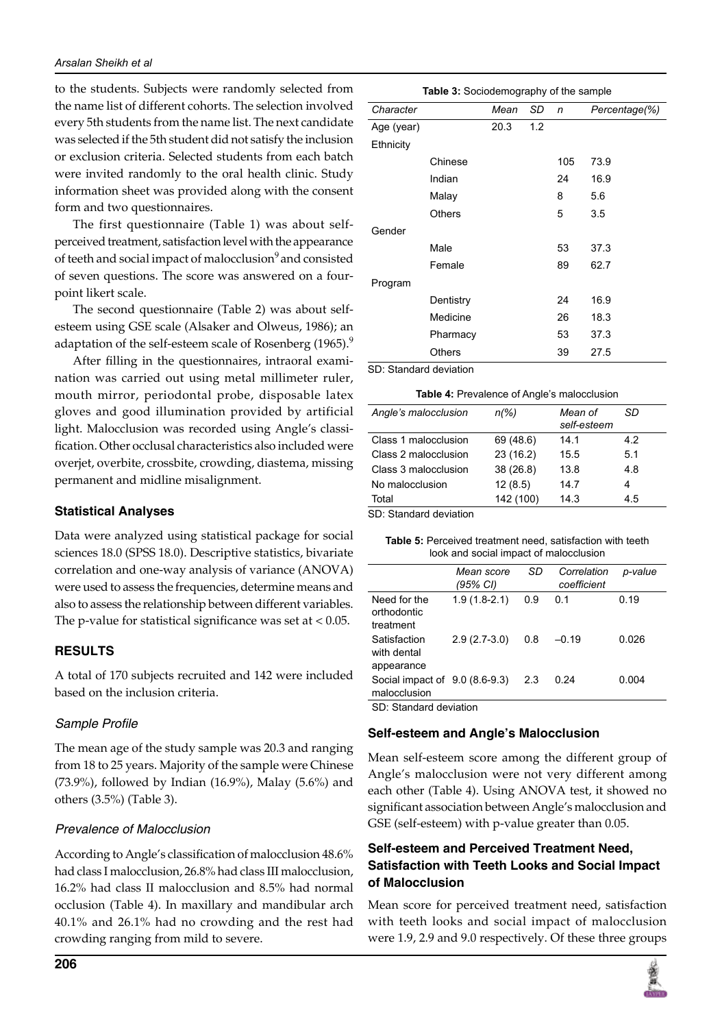to the students. Subjects were randomly selected from the name list of different cohorts. The selection involved every 5th students from the name list. The next candidate was selected if the 5th student did not satisfy the inclusion or exclusion criteria. Selected students from each batch were invited randomly to the oral health clinic. Study information sheet was provided along with the consent form and two questionnaires.

The first questionnaire (Table 1) was about selfperceived treatment, satisfaction level with the appearance of teeth and social impact of malocclusion<sup>9</sup> and consisted of seven questions. The score was answered on a fourpoint likert scale.

The second questionnaire (Table 2) was about selfesteem using GSE scale (Alsaker and Olweus, 1986); an adaptation of the self-esteem scale of Rosenberg (1965).<sup>9</sup>

After filling in the questionnaires, intraoral examination was carried out using metal millimeter ruler, mouth mirror, periodontal probe, disposable latex gloves and good illumination provided by artificial light. Malocclusion was recorded using Angle's classification. Other occlusal characteristics also included were overjet, overbite, crossbite, crowding, diastema, missing permanent and midline misalignment.

#### **Statistical Analyses**

Data were analyzed using statistical package for social sciences 18.0 (SPSS 18.0). Descriptive statistics, bivariate correlation and one-way analysis of variance (ANOVA) were used to assess the frequencies, determine means and also to assess the relationship between different variables. The p-value for statistical significance was set at  $< 0.05$ .

### **Results**

A total of 170 subjects recruited and 142 were included based on the inclusion criteria.

### Sample Profile

The mean age of the study sample was 20.3 and ranging from 18 to 25 years. Majority of the sample were Chinese (73.9%), followed by Indian (16.9%), Malay (5.6%) and others (3.5%) (Table 3).

### *Prevalence of Malocclusion*

According to Angle's classification of malocclusion 48.6% had class I malocclusion, 26.8% had class III malocclusion, 16.2% had class II malocclusion and 8.5% had normal occlusion (Table 4). In maxillary and mandibular arch 40.1% and 26.1% had no crowding and the rest had crowding ranging from mild to severe.

| Table 3: Sociodemography of the sample |               |      |     |     |               |  |  |
|----------------------------------------|---------------|------|-----|-----|---------------|--|--|
| Character                              |               | Mean | SD  | n   | Percentage(%) |  |  |
| Age (year)                             |               | 20.3 | 1.2 |     |               |  |  |
| Ethnicity                              |               |      |     |     |               |  |  |
|                                        | Chinese       |      |     | 105 | 73.9          |  |  |
|                                        | Indian        |      |     | 24  | 16.9          |  |  |
|                                        | Malay         |      |     | 8   | 5.6           |  |  |
|                                        | <b>Others</b> |      |     | 5   | 3.5           |  |  |
| Gender                                 |               |      |     |     |               |  |  |
|                                        | Male          |      |     | 53  | 37.3          |  |  |
|                                        | Female        |      |     | 89  | 62.7          |  |  |
| Program                                |               |      |     |     |               |  |  |
|                                        | Dentistry     |      |     | 24  | 16.9          |  |  |
|                                        | Medicine      |      |     | 26  | 18.3          |  |  |
|                                        | Pharmacy      |      |     | 53  | 37.3          |  |  |
|                                        | Others        |      |     | 39  | 27.5          |  |  |
| CD. Clanderd deviation                 |               |      |     |     |               |  |  |

SD: Standard deviation

| Angle's malocclusion | $n\frac{9}{6}$ | Mean of<br>self-esteem | SD  |
|----------------------|----------------|------------------------|-----|
| Class 1 malocclusion | 69 (48.6)      | 14.1                   | 4.2 |
| Class 2 malocclusion | 23(16.2)       | 15.5                   | 5.1 |
| Class 3 malocclusion | 38(26.8)       | 13.8                   | 4.8 |
| No malocclusion      | 12(8.5)        | 14.7                   | 4   |
| Total                | 142 (100)      | 14.3                   | 4.5 |
|                      |                |                        |     |

SD: Standard deviation

| <b>Table 5:</b> Perceived treatment need, satisfaction with teeth |
|-------------------------------------------------------------------|
| look and social impact of malocclusion                            |

|                                                        | Mean score<br>(95% CI) | SD  | Correlation<br>coefficient | p-value |
|--------------------------------------------------------|------------------------|-----|----------------------------|---------|
| Need for the<br>orthodontic<br>treatment               | $1.9(1.8-2.1)$         | 0.9 | 0.1                        | 0.19    |
| Satisfaction<br>with dental<br>appearance              | $2.9(2.7-3.0)$         | 0.8 | $-0.19$                    | 0.026   |
| Social impact of 9.0 (8.6-9.3)<br>malocclusion<br>__ _ |                        | 2.3 | 0.24                       | 0.004   |

SD: Standard deviation

### **Self-esteem and Angle's Malocclusion**

Mean self-esteem score among the different group of Angle's malocclusion were not very different among each other (Table 4). Using ANOVA test, it showed no significant association between Angle's malocclusion and GSE (self-esteem) with p-value greater than 0.05.

## **Self-esteem and Perceived Treatment Need, Satisfaction with Teeth Looks and Social Impact of Malocclusion**

Mean score for perceived treatment need, satisfaction with teeth looks and social impact of malocclusion were 1.9, 2.9 and 9.0 respectively. Of these three groups

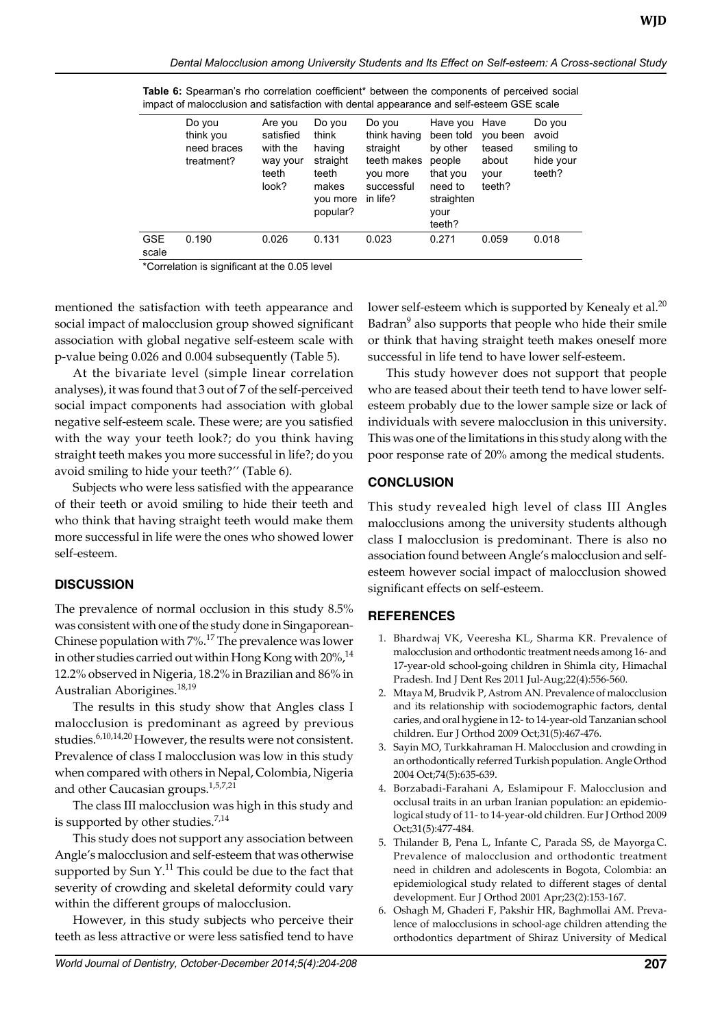|              | Do you<br>think you<br>need braces<br>treatment? | Are you<br>satisfied<br>with the<br>way your<br>teeth<br>look? | Do you<br>think<br>having<br>straight<br>teeth<br>makes<br>you more<br>popular? | Do you<br>think having<br>straight<br>teeth makes<br>you more<br>successful<br>in life? | Have you<br>been told<br>by other<br>people<br>that you<br>need to<br>straighten<br>vour<br>teeth? | Have<br>you been<br>teased<br>about<br>vour<br>teeth? | Do you<br>avoid<br>smiling to<br>hide your<br>teeth? |
|--------------|--------------------------------------------------|----------------------------------------------------------------|---------------------------------------------------------------------------------|-----------------------------------------------------------------------------------------|----------------------------------------------------------------------------------------------------|-------------------------------------------------------|------------------------------------------------------|
| GSE<br>scale | 0.190                                            | 0.026                                                          | 0.131                                                                           | 0.023                                                                                   | 0.271                                                                                              | 0.059                                                 | 0.018                                                |

Table 6: Spearman's rho correlation coefficient<sup>\*</sup> between the components of perceived social impact of malocclusion and satisfaction with dental appearance and self-esteem GSE scale

\*Correlation is significant at the 0.05 level

mentioned the satisfaction with teeth appearance and social impact of malocclusion group showed significant association with global negative self-esteem scale with p-value being 0.026 and 0.004 subsequently (Table 5).

At the bivariate level (simple linear correlation analyses), it was found that 3 out of 7 of the self-perceived social impact components had association with global negative self-esteem scale. These were; are you satisfied with the way your teeth look?; do you think having straight teeth makes you more successful in life?; do you avoid smiling to hide your teeth?'' (Table 6).

Subjects who were less satisfied with the appearance of their teeth or avoid smiling to hide their teeth and who think that having straight teeth would make them more successful in life were the ones who showed lower self-esteem.

### **Discussion**

The prevalence of normal occlusion in this study 8.5% was consistent with one of the study done in Singaporean-Chinese population with  $7\%$ .<sup>17</sup> The prevalence was lower in other studies carried out within Hong Kong with  $20\%$ ,  $^{14}$ 12.2% observed in Nigeria, 18.2% in Brazilian and 86% in Australian Aborigines.<sup>18,19</sup>

The results in this study show that Angles class I malocclusion is predominant as agreed by previous studies.6,10,14,20 However, the results were not consistent. Prevalence of class I malocclusion was low in this study when compared with others in Nepal, Colombia, Nigeria and other Caucasian groups.<sup>1,5,7,21</sup>

The class III malocclusion was high in this study and is supported by other studies. $^{7,14}$ 

This study does not support any association between Angle's malocclusion and self-esteem that was otherwise supported by Sun  $Y$ .<sup>11</sup> This could be due to the fact that severity of crowding and skeletal deformity could vary within the different groups of malocclusion.

However, in this study subjects who perceive their teeth as less attractive or were less satisfied tend to have

lower self-esteem which is supported by Kenealy et al.<sup>20</sup> Badran<sup>9</sup> also supports that people who hide their smile or think that having straight teeth makes oneself more successful in life tend to have lower self-esteem.

This study however does not support that people who are teased about their teeth tend to have lower selfesteem probably due to the lower sample size or lack of individuals with severe malocclusion in this university. This was one of the limitations in this study along with the poor response rate of 20% among the medical students.

#### **Conclusion**

This study revealed high level of class III Angles malocclusions among the university students although class I malocclusion is predominant. There is also no association found between Angle's malocclusion and selfesteem however social impact of malocclusion showed significant effects on self-esteem.

### **References**

- 1. Bhardwaj VK, Veeresha KL, Sharma KR. Prevalence of malocclusion and orthodontic treatment needs among 16- and 17-year-old school-going children in Shimla city, Himachal Pradesh. Ind J Dent Res 2011 Jul-Aug;22(4):556-560.
- 2. Mtaya M, Brudvik P, Astrom AN. Prevalence of malocclusion and its relationship with sociodemographic factors, dental caries, and oral hygiene in 12- to 14-year-old Tanzanian school children. Eur J Orthod 2009 Oct;31(5):467-476.
- 3. Sayin MO, Turkkahraman H. Malocclusion and crowding in an orthodontically referred Turkish population. Angle Orthod 2004 Oct;74(5):635-639.
- 4. Borzabadi-Farahani A, Eslamipour F. Malocclusion and occlusal traits in an urban Iranian population: an epidemiological study of 11- to 14-year-old children. Eur J Orthod 2009 Oct;31(5):477-484.
- 5. Thilander B, Pena L, Infante C, Parada SS, de Mayorga C. Prevalence of malocclusion and orthodontic treatment need in children and adolescents in Bogota, Colombia: an epidemiological study related to different stages of dental development. Eur J Orthod 2001 Apr;23(2):153-167.
- 6. Oshagh M, Ghaderi F, Pakshir HR, Baghmollai AM. Prevalence of malocclusions in school-age children attending the orthodontics department of Shiraz University of Medical